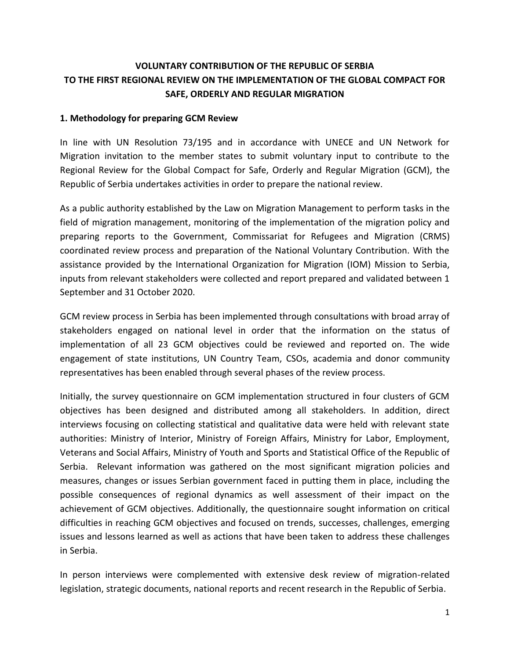# **VOLUNTARY CONTRIBUTION OF THE REPUBLIC OF SERBIA TO THE FIRST REGIONAL REVIEW ON THE IMPLEMENTATION OF THE GLOBAL COMPACT FOR SAFE, ORDERLY AND REGULAR MIGRATION**

#### **1. Methodology for preparing GCM Review**

In line with UN Resolution 73/195 and in accordance with UNECE and UN Network for Migration invitation to the member states to submit voluntary input to contribute to the Regional Review for the Global Compact for Safe, Orderly and Regular Migration (GCM), the Republic of Serbia undertakes activities in order to prepare the national review.

As a public authority established by the Law on Migration Management to perform tasks in the field of migration management, monitoring of the implementation of the migration policy and preparing reports to the Government, Commissariat for Refugees and Migration (CRMS) coordinated review process and preparation of the National Voluntary Contribution. With the assistance provided by the International Organization for Migration (IOM) Mission to Serbia, inputs from relevant stakeholders were collected and report prepared and validated between 1 September and 31 October 2020.

GCM review process in Serbia has been implemented through consultations with broad array of stakeholders engaged on national level in order that the information on the status of implementation of all 23 GCM objectives could be reviewed and reported on. The wide engagement of state institutions, UN Country Team, CSOs, academia and donor community representatives has been enabled through several phases of the review process.

Initially, the survey questionnaire on GCM implementation structured in four clusters of GCM objectives has been designed and distributed among all stakeholders. In addition, direct interviews focusing on collecting statistical and qualitative data were held with relevant state authorities: Ministry of Interior, Ministry of Foreign Affairs, Ministry for Labor, Employment, Veterans and Social Affairs, Ministry of Youth and Sports and Statistical Office of the Republic of Serbia. Relevant information was gathered on the most significant migration policies and measures, changes or issues Serbian government faced in putting them in place, including the possible consequences of regional dynamics as well assessment of their impact on the achievement of GCM objectives. Additionally, the questionnaire sought information on critical difficulties in reaching GCM objectives and focused on trends, successes, challenges, emerging issues and lessons learned as well as actions that have been taken to address these challenges in Serbia.

In person interviews were complemented with extensive desk review of migration-related legislation, strategic documents, national reports and recent research in the Republic of Serbia.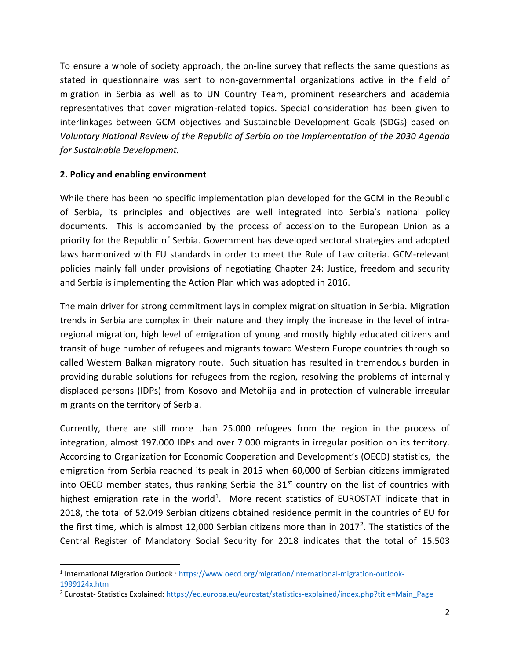To ensure a whole of society approach, the on-line survey that reflects the same questions as stated in questionnaire was sent to non-governmental organizations active in the field of migration in Serbia as well as to UN Country Team, prominent researchers and academia representatives that cover migration-related topics. Special consideration has been given to interlinkages between GCM objectives and Sustainable Development Goals (SDGs) based on *Voluntary National Review of the Republic of Serbia on the Implementation of the 2030 Agenda for Sustainable Development.*

#### **2. Policy and enabling environment**

While there has been no specific implementation plan developed for the GCM in the Republic of Serbia, its principles and objectives are well integrated into Serbia's national policy documents. This is accompanied by the process of accession to the European Union as a priority for the Republic of Serbia. Government has developed sectoral strategies and adopted laws harmonized with EU standards in order to meet the Rule of Law criteria. GCM-relevant policies mainly fall under provisions of negotiating Chapter 24: Justice, freedom and security and Serbia is implementing the Action Plan which was adopted in 2016.

The main driver for strong commitment lays in complex migration situation in Serbia. Migration trends in Serbia are complex in their nature and they imply the increase in the level of intraregional migration, high level of emigration of young and mostly highly educated citizens and transit of huge number of refugees and migrants toward Western Europe countries through so called Western Balkan migratory route. Such situation has resulted in tremendous burden in providing durable solutions for refugees from the region, resolving the problems of internally displaced persons (IDPs) from Kosovo and Metohija and in protection of vulnerable irregular migrants on the territory of Serbia.

Currently, there are still more than 25.000 refugees from the region in the process of integration, almost 197.000 IDPs and over 7.000 migrants in irregular position on its territory. According to Organization for Economic Cooperation and Development's (OECD) statistics, the emigration from Serbia reached its peak in 2015 when 60,000 of Serbian citizens immigrated into OECD member states, thus ranking Serbia the  $31<sup>st</sup>$  country on the list of countries with highest emigration rate in the world<sup>1</sup>. More recent statistics of EUROSTAT indicate that in 2018, the total of 52.049 Serbian citizens obtained residence permit in the countries of EU for the first time, which is almost 12,000 Serbian citizens more than in 2017<sup>2</sup>. The statistics of the Central Register of Mandatory Social Security for 2018 indicates that the total of 15.503

<sup>&</sup>lt;sup>1</sup> International Migration Outlook : [https://www.oecd.org/migration/international-migration-outlook-](https://www.oecd.org/migration/international-migration-outlook-1999124x.htm)[1999124x.htm](https://www.oecd.org/migration/international-migration-outlook-1999124x.htm)

<sup>&</sup>lt;sup>2</sup> Eurostat- Statistics Explained: [https://ec.europa.eu/eurostat/statistics-explained/index.php?title=Main\\_Page](https://ec.europa.eu/eurostat/statistics-explained/index.php?title=Main_Page)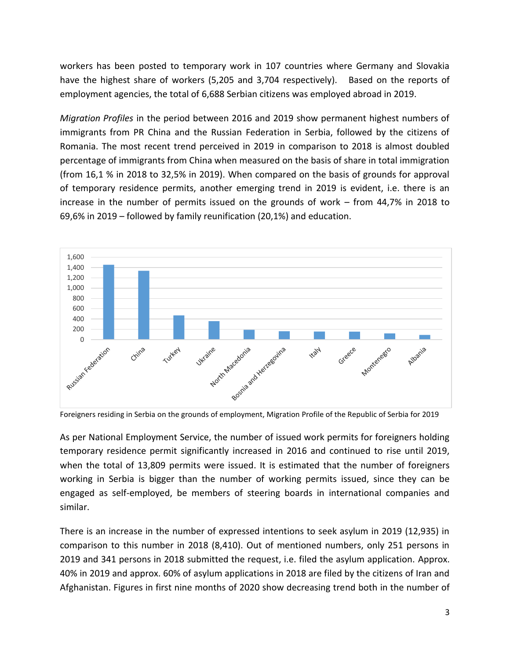workers has been posted to temporary work in 107 countries where Germany and Slovakia have the highest share of workers (5,205 and 3,704 respectively). Based on the reports of employment agencies, the total of 6,688 Serbian citizens was employed abroad in 2019.

*Migration Profiles* in the period between 2016 and 2019 show permanent highest numbers of immigrants from PR China and the Russian Federation in Serbia, followed by the citizens of Romania. The most recent trend perceived in 2019 in comparison to 2018 is almost doubled percentage of immigrants from China when measured on the basis of share in total immigration (from 16,1 % in 2018 to 32,5% in 2019). When compared on the basis of grounds for approval of temporary residence permits, another emerging trend in 2019 is evident, i.e. there is an increase in the number of permits issued on the grounds of work – from 44,7% in 2018 to 69,6% in 2019 – followed by family reunification (20,1%) and education.



Foreigners residing in Serbia on the grounds of employment, Migration Profile of the Republic of Serbia for 2019

As per National Employment Service, the number of issued work permits for foreigners holding temporary residence permit significantly increased in 2016 and continued to rise until 2019, when the total of 13,809 permits were issued. It is estimated that the number of foreigners working in Serbia is bigger than the number of working permits issued, since they can be engaged as self-employed, be members of steering boards in international companies and similar.

There is an increase in the number of expressed intentions to seek asylum in 2019 (12,935) in comparison to this number in 2018 (8,410). Out of mentioned numbers, only 251 persons in 2019 and 341 persons in 2018 submitted the request, i.e. filed the asylum application. Approx. 40% in 2019 and approx. 60% of asylum applications in 2018 are filed by the citizens of Iran and Afghanistan. Figures in first nine months of 2020 show decreasing trend both in the number of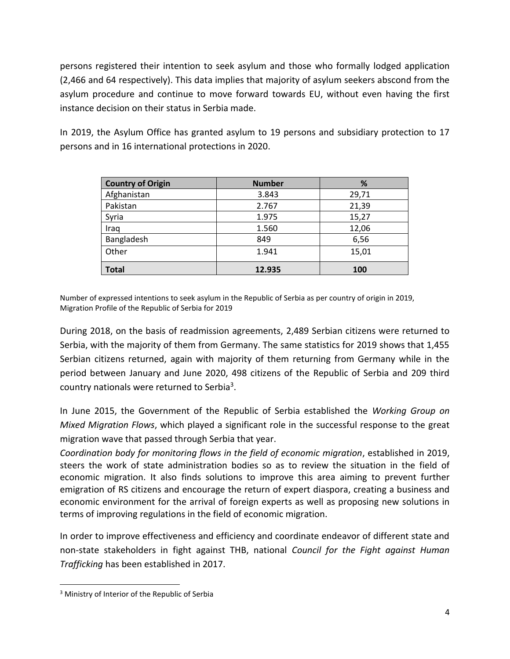persons registered their intention to seek asylum and those who formally lodged application (2,466 and 64 respectively). This data implies that majority of asylum seekers abscond from the asylum procedure and continue to move forward towards EU, without even having the first instance decision on their status in Serbia made.

In 2019, the Asylum Office has granted asylum to 19 persons and subsidiary protection to 17 persons and in 16 international protections in 2020.

| <b>Country of Origin</b> | <b>Number</b> | %     |
|--------------------------|---------------|-------|
| Afghanistan              | 3.843         | 29,71 |
| Pakistan                 | 2.767         | 21,39 |
| Syria                    | 1.975         | 15,27 |
| Iraq                     | 1.560         | 12,06 |
| Bangladesh               | 849           | 6,56  |
| Other                    | 1.941         | 15,01 |
| <b>Total</b>             | 12.935        | 100   |

Number of expressed intentions to seek asylum in the Republic of Serbia as per country of origin in 2019, Migration Profile of the Republic of Serbia for 2019

During 2018, on the basis of readmission agreements, 2,489 Serbian citizens were returned to Serbia, with the majority of them from Germany. The same statistics for 2019 shows that 1,455 Serbian citizens returned, again with majority of them returning from Germany while in the period between January and June 2020, 498 citizens of the Republic of Serbia and 209 third country nationals were returned to Serbia<sup>3</sup>.

In June 2015, the Government of the Republic of Serbia established the *Working Group on Mixed Migration Flows*, which played a significant role in the successful response to the great migration wave that passed through Serbia that year.

*Coordination body for monitoring flows in the field of economic migration*, established in 2019, steers the work of state administration bodies so as to review the situation in the field of economic migration. It also finds solutions to improve this area aiming to prevent further emigration of RS citizens and encourage the return of expert diaspora, creating a business and economic environment for the arrival of foreign experts as well as proposing new solutions in terms of improving regulations in the field of economic migration.

In order to improve effectiveness and efficiency and coordinate endeavor of different state and non-state stakeholders in fight against THB, national *Council for the Fight against Human Trafficking* has been established in 2017.

<sup>&</sup>lt;sup>3</sup> Ministry of Interior of the Republic of Serbia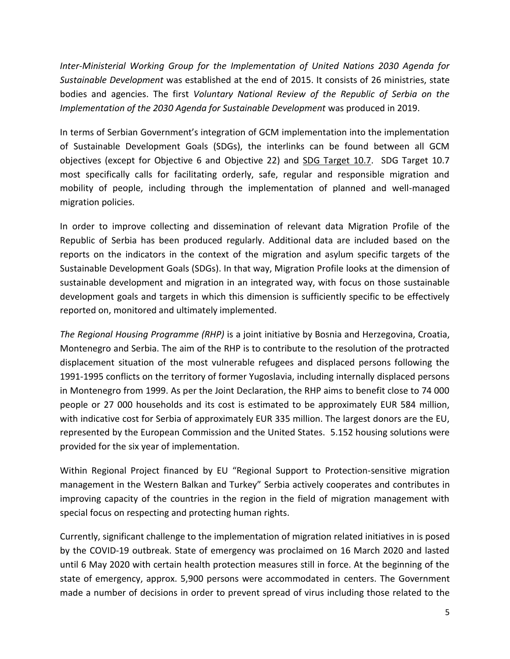*Inter-Ministerial Working Group for the Implementation of United Nations 2030 Agenda for Sustainable Development* was established at the end of 2015. It consists of 26 ministries, state bodies and agencies. The first *Voluntary National Review of the Republic of Serbia on the Implementation of the 2030 Agenda for Sustainable Development* was produced in 2019.

In terms of Serbian Government's integration of GCM implementation into the implementation of Sustainable Development Goals (SDGs), the interlinks can be found between all GCM objectives (except for Objective 6 and Objective 22) and SDG Target 10.7. SDG Target 10.7 most specifically calls for facilitating orderly, safe, regular and responsible migration and mobility of people, including through the implementation of planned and well-managed migration policies.

In order to improve collecting and dissemination of relevant data Migration Profile of the Republic of Serbia has been produced regularly. Additional data are included based on the reports on the indicators in the context of the migration and asylum specific targets of the Sustainable Development Goals (SDGs). In that way, Migration Profile looks at the dimension of sustainable development and migration in an integrated way, with focus on those sustainable development goals and targets in which this dimension is sufficiently specific to be effectively reported on, monitored and ultimately implemented.

*The Regional Housing Programme (RHP)* is a joint initiative by Bosnia and Herzegovina, Croatia, Montenegro and Serbia. The aim of the RHP is to contribute to the resolution of the protracted displacement situation of the most vulnerable refugees and displaced persons following the 1991-1995 conflicts on the territory of former Yugoslavia, including internally displaced persons in Montenegro from 1999. As per the Joint Declaration, the RHP aims to benefit close to 74 000 people or 27 000 households and its cost is estimated to be approximately EUR 584 million, with indicative cost for Serbia of approximately EUR 335 million. The largest donors are the EU, represented by the European Commission and the United States. 5.152 housing solutions were provided for the six year of implementation.

Within Regional Project financed by EU "Regional Support to Protection-sensitive migration management in the Western Balkan and Turkey" Serbia actively cooperates and contributes in improving capacity of the countries in the region in the field of migration management with special focus on respecting and protecting human rights.

Currently, significant challenge to the implementation of migration related initiatives in is posed by the COVID-19 outbreak. State of emergency was proclaimed on 16 March 2020 and lasted until 6 May 2020 with certain health protection measures still in force. At the beginning of the state of emergency, approx. 5,900 persons were accommodated in centers. The Government made a number of decisions in order to prevent spread of virus including those related to the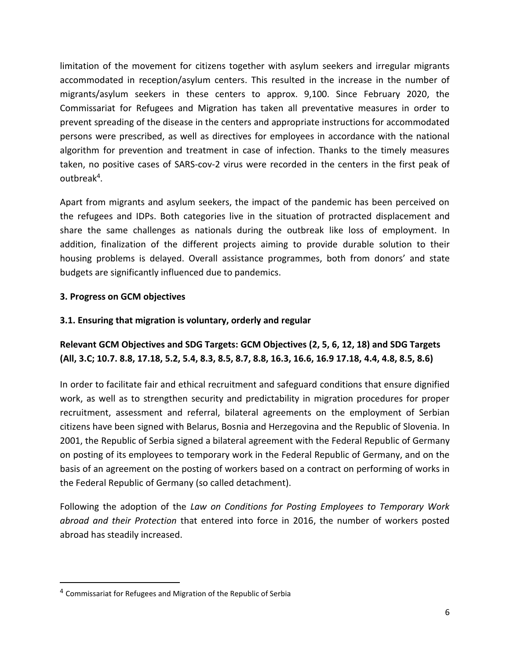limitation of the movement for citizens together with asylum seekers and irregular migrants accommodated in reception/asylum centers. This resulted in the increase in the number of migrants/asylum seekers in these centers to approx. 9,100. Since February 2020, the Commissariat for Refugees and Migration has taken all preventative measures in order to prevent spreading of the disease in the centers and appropriate instructions for accommodated persons were prescribed, as well as directives for employees in accordance with the national algorithm for prevention and treatment in case of infection. Thanks to the timely measures taken, no positive cases of SARS-cov-2 virus were recorded in the centers in the first peak of outbreak<sup>4</sup>.

Apart from migrants and asylum seekers, the impact of the pandemic has been perceived on the refugees and IDPs. Both categories live in the situation of protracted displacement and share the same challenges as nationals during the outbreak like loss of employment. In addition, finalization of the different projects aiming to provide durable solution to their housing problems is delayed. Overall assistance programmes, both from donors' and state budgets are significantly influenced due to pandemics.

### **3. Progress on GCM objectives**

## **3.1. Ensuring that migration is voluntary, orderly and regular**

# **Relevant GCM Objectives and SDG Targets: GCM Objectives (2, 5, 6, 12, 18) and SDG Targets (All, 3.C; 10.7. 8.8, 17.18, 5.2, 5.4, 8.3, 8.5, 8.7, 8.8, 16.3, 16.6, 16.9 17.18, 4.4, 4.8, 8.5, 8.6)**

In order to facilitate fair and ethical recruitment and safeguard conditions that ensure dignified work, as well as to strengthen security and predictability in migration procedures for proper recruitment, assessment and referral, bilateral agreements on the employment of Serbian citizens have been signed with Belarus, Bosnia and Herzegovina and the Republic of Slovenia. In 2001, the Republic of Serbia signed a bilateral agreement with the Federal Republic of Germany on posting of its employees to temporary work in the Federal Republic of Germany, and on the basis of an agreement on the posting of workers based on a contract on performing of works in the Federal Republic of Germany (so called detachment).

Following the adoption of the *Law on Conditions for Posting Employees to Temporary Work abroad and their Protection* that entered into force in 2016, the number of workers posted abroad has steadily increased.

<sup>&</sup>lt;sup>4</sup> Commissariat for Refugees and Migration of the Republic of Serbia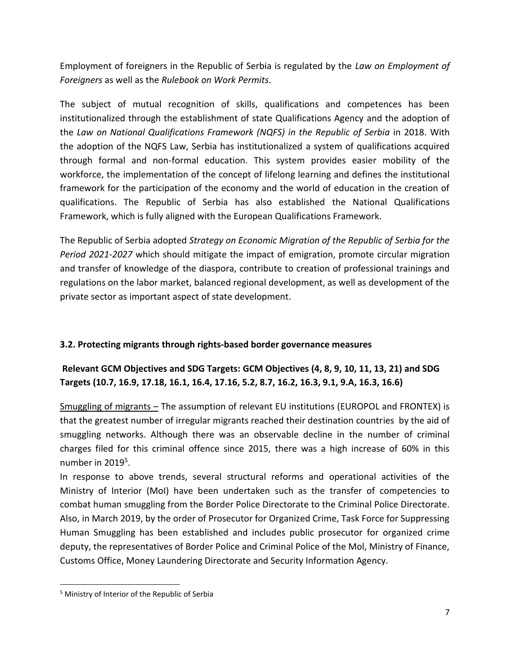Employment of foreigners in the Republic of Serbia is regulated by the *Law on Employment of Foreigners* as well as the *Rulebook on Work Permits*.

The subject of mutual recognition of skills, qualifications and competences has been institutionalized through the establishment of state Qualifications Agency and the adoption of the *Law on National Qualifications Framework (NQFS) in the Republic of Serbia* in 2018. With the adoption of the NQFS Law, Serbia has institutionalized a system of qualifications acquired through formal and non-formal education. This system provides easier mobility of the workforce, the implementation of the concept of lifelong learning and defines the institutional framework for the participation of the economy and the world of education in the creation of qualifications. The Republic of Serbia has also established the National Qualifications Framework, which is fully aligned with the European Qualifications Framework.

The Republic of Serbia adopted *Strategy on Economic Migration of the Republic of Serbia for the Period 2021-2027* which should mitigate the impact of emigration, promote circular migration and transfer of knowledge of the diaspora, contribute to creation of professional trainings and regulations on the labor market, balanced regional development, as well as development of the private sector as important aspect of state development.

# **3.2. Protecting migrants through rights-based border governance measures**

# **Relevant GCM Objectives and SDG Targets: GCM Objectives (4, 8, 9, 10, 11, 13, 21) and SDG Targets (10.7, 16.9, 17.18, 16.1, 16.4, 17.16, 5.2, 8.7, 16.2, 16.3, 9.1, 9.A, 16.3, 16.6)**

Smuggling of migrants - The assumption of relevant EU institutions (EUROPOL and FRONTEX) is that the greatest number of irregular migrants reached their destination countries by the aid of smuggling networks. Although there was an observable decline in the number of criminal charges filed for this criminal offence since 2015, there was a high increase of 60% in this number in 2019<sup>5</sup>.

In response to above trends, several structural reforms and operational activities of the Ministry of Interior (MoI) have been undertaken such as the transfer of competencies to combat human smuggling from the Border Police Directorate to the Criminal Police Directorate. Also, in March 2019, by the order of Prosecutor for Organized Crime, Task Force for Suppressing Human Smuggling has been established and includes public prosecutor for organized crime deputy, the representatives of Border Police and Criminal Police of the Mol, Ministry of Finance, Customs Office, Money Laundering Directorate and Security Information Agency.

<sup>5</sup> Ministry of Interior of the Republic of Serbia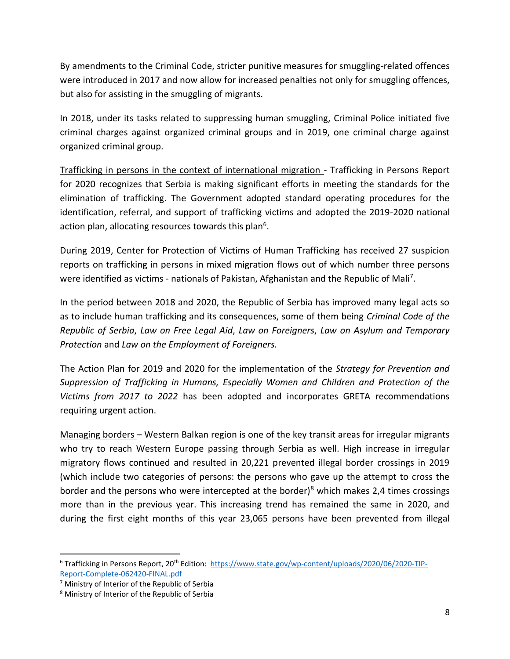By amendments to the Criminal Code, stricter punitive measures for smuggling-related offences were introduced in 2017 and now allow for increased penalties not only for smuggling offences, but also for assisting in the smuggling of migrants.

In 2018, under its tasks related to suppressing human smuggling, Criminal Police initiated five criminal charges against organized criminal groups and in 2019, one criminal charge against organized criminal group.

Trafficking in persons in the context of international migration - Trafficking in Persons Report for 2020 recognizes that Serbia is making significant efforts in meeting the standards for the elimination of trafficking. The Government adopted standard operating procedures for the identification, referral, and support of trafficking victims and adopted the 2019-2020 national action plan, allocating resources towards this plan<sup>6</sup>.

During 2019, Center for Protection of Victims of Human Trafficking has received 27 suspicion reports on trafficking in persons in mixed migration flows out of which number three persons were identified as victims - nationals of Pakistan, Afghanistan and the Republic of Mali<sup>7</sup>.

In the period between 2018 and 2020, the Republic of Serbia has improved many legal acts so as to include human trafficking and its consequences, some of them being *Criminal Code of the Republic of Serbia*, *Law on Free Legal Aid*, *Law on Foreigners*, *Law on Asylum and Temporary Protection* and *Law on the Employment of Foreigners.* 

The Action Plan for 2019 and 2020 for the implementation of the *Strategy for Prevention and Suppression of Trafficking in Humans, Especially Women and Children and Protection of the Victims from 2017 to 2022* has been adopted and incorporates GRETA recommendations requiring urgent action.

Managing borders – Western Balkan region is one of the key transit areas for irregular migrants who try to reach Western Europe passing through Serbia as well. High increase in irregular migratory flows continued and resulted in 20,221 prevented illegal border crossings in 2019 (which include two categories of persons: the persons who gave up the attempt to cross the border and the persons who were intercepted at the border)<sup>8</sup> which makes 2,4 times crossings more than in the previous year. This increasing trend has remained the same in 2020, and during the first eight months of this year 23,065 persons have been prevented from illegal

 $6$  Trafficking in Persons Report, 20<sup>th</sup> Edition: [https://www.state.gov/wp-content/uploads/2020/06/2020-TIP-](https://www.state.gov/wp-content/uploads/2020/06/2020-TIP-Report-Complete-062420-FINAL.pdf)[Report-Complete-062420-FINAL.pdf](https://www.state.gov/wp-content/uploads/2020/06/2020-TIP-Report-Complete-062420-FINAL.pdf)

 $<sup>7</sup>$  Ministry of Interior of the Republic of Serbia</sup>

<sup>8</sup> Ministry of Interior of the Republic of Serbia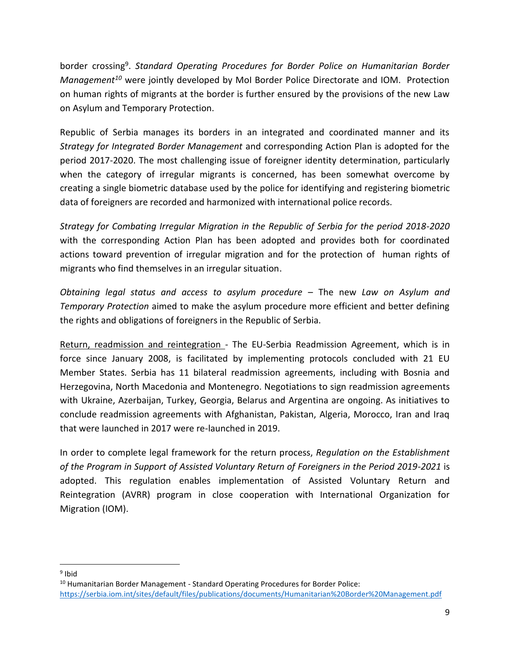border crossing<sup>9</sup>. Standard Operating Procedures for Border Police on Humanitarian Border *Management<sup>10</sup>* were jointly developed by MoI Border Police Directorate and IOM. Protection on human rights of migrants at the border is further ensured by the provisions of the new Law on Asylum and Temporary Protection.

Republic of Serbia manages its borders in an integrated and coordinated manner and its *Strategy for Integrated Border Management* and corresponding Action Plan is adopted for the period 2017-2020. The most challenging issue of foreigner identity determination, particularly when the category of irregular migrants is concerned, has been somewhat overcome by creating a single biometric database used by the police for identifying and registering biometric data of foreigners are recorded and harmonized with international police records.

*Strategy for Combating Irregular Migration in the Republic of Serbia for the period 2018-2020*  with the corresponding Action Plan has been adopted and provides both for coordinated actions toward prevention of irregular migration and for the protection of human rights of migrants who find themselves in an irregular situation.

*Obtaining legal status and access to asylum procedure* – The new *Law on Asylum and Temporary Protection* aimed to make the asylum procedure more efficient and better defining the rights and obligations of foreigners in the Republic of Serbia.

Return, readmission and reintegration - The EU-Serbia Readmission Agreement, which is in force since January 2008, is facilitated by implementing protocols concluded with 21 EU Member States. Serbia has 11 bilateral readmission agreements, including with Bosnia and Herzegovina, North Macedonia and Montenegro. Negotiations to sign readmission agreements with Ukraine, Azerbaijan, Turkey, Georgia, Belarus and Argentina are ongoing. As initiatives to conclude readmission agreements with Afghanistan, Pakistan, Algeria, Morocco, Iran and Iraq that were launched in 2017 were re-launched in 2019.

In order to complete legal framework for the return process, *Regulation on the Establishment of the Program in Support of Assisted Voluntary Return of Foreigners in the Period 2019-2021* is adopted. This regulation enables implementation of Assisted Voluntary Return and Reintegration (AVRR) program in close cooperation with International Organization for Migration (IOM).

<sup>&</sup>lt;sup>9</sup> Ibid

 $10$  Humanitarian Border Management - Standard Operating Procedures for Border Police: <https://serbia.iom.int/sites/default/files/publications/documents/Humanitarian%20Border%20Management.pdf>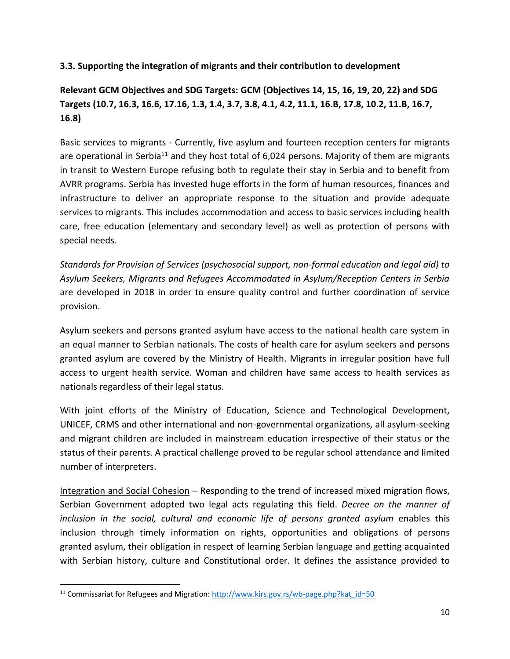### **3.3. Supporting the integration of migrants and their contribution to development**

# **Relevant GCM Objectives and SDG Targets: GCM (Objectives 14, 15, 16, 19, 20, 22) and SDG Targets (10.7, 16.3, 16.6, 17.16, 1.3, 1.4, 3.7, 3.8, 4.1, 4.2, 11.1, 16.B, 17.8, 10.2, 11.B, 16.7, 16.8)**

Basic services to migrants - Currently, five asylum and fourteen reception centers for migrants are operational in Serbia<sup>11</sup> and they host total of  $6,024$  persons. Majority of them are migrants in transit to Western Europe refusing both to regulate their stay in Serbia and to benefit from AVRR programs. Serbia has invested huge efforts in the form of human resources, finances and infrastructure to deliver an appropriate response to the situation and provide adequate services to migrants. This includes accommodation and access to basic services including health care, free education (elementary and secondary level) as well as protection of persons with special needs.

*Standards for Provision of Services (psychosocial support, non-formal education and legal aid) to Asylum Seekers, Migrants and Refugees Accommodated in Asylum/Reception Centers in Serbia* are developed in 2018 in order to ensure quality control and further coordination of service provision.

Asylum seekers and persons granted asylum have access to the national health care system in an equal manner to Serbian nationals. The costs of health care for asylum seekers and persons granted asylum are covered by the Ministry of Health. Migrants in irregular position have full access to urgent health service. Woman and children have same access to health services as nationals regardless of their legal status.

With joint efforts of the Ministry of Education, Science and Technological Development, UNICEF, CRMS and other international and non-governmental organizations, all asylum-seeking and migrant children are included in mainstream education irrespective of their status or the status of their parents. A practical challenge proved to be regular school attendance and limited number of interpreters.

Integration and Social Cohesion – Responding to the trend of increased mixed migration flows, Serbian Government adopted two legal acts regulating this field. *Decree on the manner of inclusion in the social, cultural and economic life of persons granted asylum* enables this inclusion through timely information on rights, opportunities and obligations of persons granted asylum, their obligation in respect of learning Serbian language and getting acquainted with Serbian history, culture and Constitutional order. It defines the assistance provided to

<sup>&</sup>lt;sup>11</sup> Commissariat for Refugees and Migration:  $\frac{http://www.kirs.gov.rs/wb-page.php?kat_id=50}$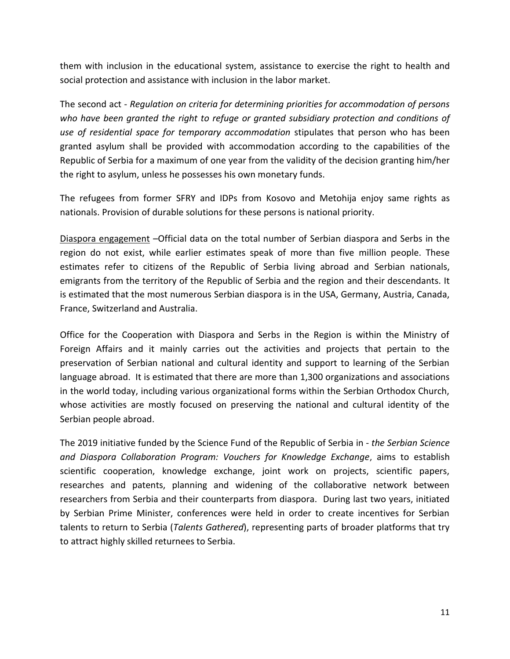them with inclusion in the educational system, assistance to exercise the right to health and social protection and assistance with inclusion in the labor market.

The second act - *Regulation on criteria for determining priorities for accommodation of persons who have been granted the right to refuge or granted subsidiary protection and conditions of use of residential space for temporary accommodation* stipulates that person who has been granted asylum shall be provided with accommodation according to the capabilities of the Republic of Serbia for a maximum of one year from the validity of the decision granting him/her the right to asylum, unless he possesses his own monetary funds.

The refugees from former SFRY and IDPs from Kosovo and Metohija enjoy same rights as nationals. Provision of durable solutions for these persons is national priority.

Diaspora engagement –Official data on the total number of Serbian diaspora and Serbs in the region do not exist, while earlier estimates speak of more than five million people. These estimates refer to citizens of the Republic of Serbia living abroad and Serbian nationals, emigrants from the territory of the Republic of Serbia and the region and their descendants. It is estimated that the most numerous Serbian diaspora is in the USA, Germany, Austria, Canada, France, Switzerland and Australia.

Office for the Cooperation with Diaspora and Serbs in the Region is within the Ministry of Foreign Affairs and it mainly carries out the activities and projects that pertain to the preservation of Serbian national and cultural identity and support to learning of the Serbian language abroad. It is estimated that there are more than 1,300 organizations and associations in the world today, including various organizational forms within the Serbian Orthodox Church, whose activities are mostly focused on preserving the national and cultural identity of the Serbian people abroad.

The 2019 initiative funded by the Science Fund of the Republic of Serbia in - *the Serbian Science and Diaspora Collaboration Program: Vouchers for Knowledge Exchange*, aims to establish scientific cooperation, knowledge exchange, joint work on projects, scientific papers, researches and patents, planning and widening of the collaborative network between researchers from Serbia and their counterparts from diaspora. During last two years, initiated by Serbian Prime Minister, conferences were held in order to create incentives for Serbian talents to return to Serbia (*Talents Gathered*), representing parts of broader platforms that try to attract highly skilled returnees to Serbia.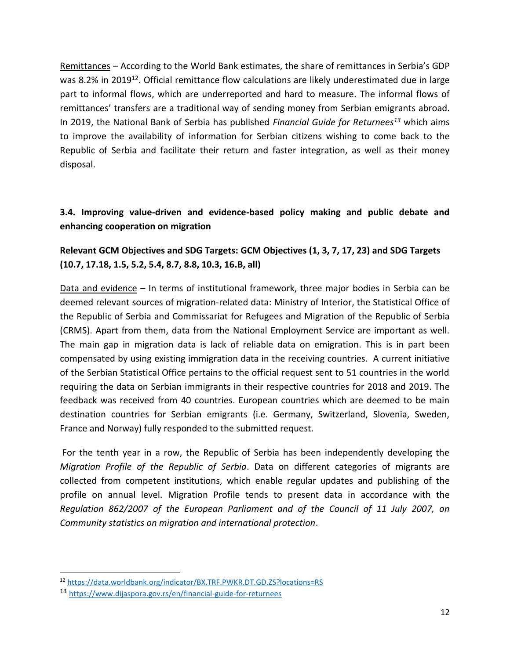Remittances – According to the World Bank estimates, the share of remittances in Serbia's GDP was 8.2% in 2019<sup>12</sup>. Official remittance flow calculations are likely underestimated due in large part to informal flows, which are underreported and hard to measure. The informal flows of remittances' transfers are a traditional way of sending money from Serbian emigrants abroad. In 2019, the National Bank of Serbia has published *Financial Guide for Returnees<sup>13</sup>* which aims to improve the availability of information for Serbian citizens wishing to come back to the Republic of Serbia and facilitate their return and faster integration, as well as their money disposal.

# **3.4. Improving value-driven and evidence-based policy making and public debate and enhancing cooperation on migration**

# **Relevant GCM Objectives and SDG Targets: GCM Objectives (1, 3, 7, 17, 23) and SDG Targets (10.7, 17.18, 1.5, 5.2, 5.4, 8.7, 8.8, 10.3, 16.B, all)**

Data and evidence – In terms of institutional framework, three major bodies in Serbia can be deemed relevant sources of migration-related data: Ministry of Interior, the Statistical Office of the Republic of Serbia and Commissariat for Refugees and Migration of the Republic of Serbia (CRMS). Apart from them, data from the National Employment Service are important as well. The main gap in migration data is lack of reliable data on emigration. This is in part been compensated by using existing immigration data in the receiving countries. A current initiative of the Serbian Statistical Office pertains to the official request sent to 51 countries in the world requiring the data on Serbian immigrants in their respective countries for 2018 and 2019. The feedback was received from 40 countries. European countries which are deemed to be main destination countries for Serbian emigrants (i.e. Germany, Switzerland, Slovenia, Sweden, France and Norway) fully responded to the submitted request.

For the tenth year in a row, the Republic of Serbia has been independently developing the *Migration Profile of the Republic of Serbia*. Data on different categories of migrants are collected from competent institutions, which enable regular updates and publishing of the profile on annual level. Migration Profile tends to present data in accordance with the *Regulation 862/2007 of the European Parliament and of the Council of 11 July 2007, on Community statistics on migration and international protection*.

<sup>12</sup> <https://data.worldbank.org/indicator/BX.TRF.PWKR.DT.GD.ZS?locations=RS>

<sup>13</sup> <https://www.dijaspora.gov.rs/en/financial-guide-for-returnees>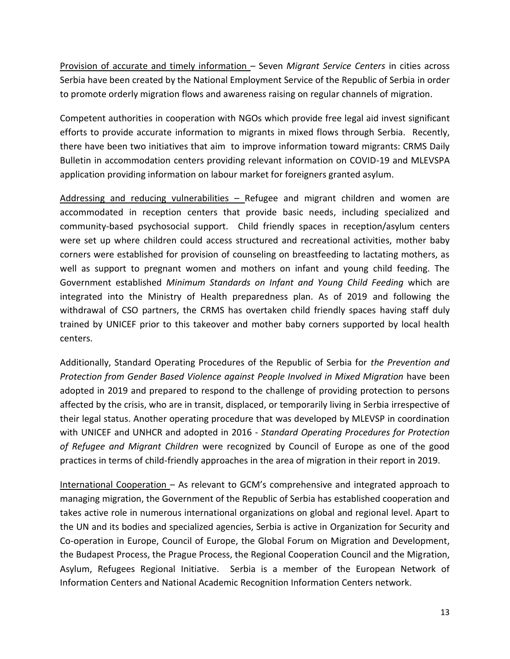Provision of accurate and timely information – Seven *Migrant Service Centers* in cities across Serbia have been created by the National Employment Service of the Republic of Serbia in order to promote orderly migration flows and awareness raising on regular channels of migration.

Competent authorities in cooperation with NGOs which provide free legal aid invest significant efforts to provide accurate information to migrants in mixed flows through Serbia. Recently, there have been two initiatives that aim to improve information toward migrants: CRMS Daily Bulletin in accommodation centers providing relevant information on COVID-19 and MLEVSPA application providing information on labour market for foreigners granted asylum.

Addressing and reducing vulnerabilities – Refugee and migrant children and women are accommodated in reception centers that provide basic needs, including specialized and community-based psychosocial support. Child friendly spaces in reception/asylum centers were set up where children could access structured and recreational activities, mother baby corners were established for provision of counseling on breastfeeding to lactating mothers, as well as support to pregnant women and mothers on infant and young child feeding. The Government established *Minimum Standards on Infant and Young Child Feeding* which are integrated into the Ministry of Health preparedness plan. As of 2019 and following the withdrawal of CSO partners, the CRMS has overtaken child friendly spaces having staff duly trained by UNICEF prior to this takeover and mother baby corners supported by local health centers.

Additionally, Standard Operating Procedures of the Republic of Serbia for *the Prevention and Protection from Gender Based Violence against People Involved in Mixed Migration* have been adopted in 2019 and prepared to respond to the challenge of providing protection to persons affected by the crisis, who are in transit, displaced, or temporarily living in Serbia irrespective of their legal status. Another operating procedure that was developed by MLEVSP in coordination with UNICEF and UNHCR and adopted in 2016 - *Standard Operating Procedures for Protection of Refugee and Migrant Children* were recognized by Council of Europe as one of the good practices in terms of child-friendly approaches in the area of migration in their report in 2019.

International Cooperation – As relevant to GCM's comprehensive and integrated approach to managing migration, the Government of the Republic of Serbia has established cooperation and takes active role in numerous international organizations on global and regional level. Apart to the UN and its bodies and specialized agencies, Serbia is active in Organization for Security and Co-operation in Europe, Council of Europe, the Global Forum on Migration and Development, the Budapest Process, the Prague Process, the Regional Cooperation Council and the Migration, Asylum, Refugees Regional Initiative. Serbia is a member of the European Network of Information Centers and National Academic Recognition Information Centers network.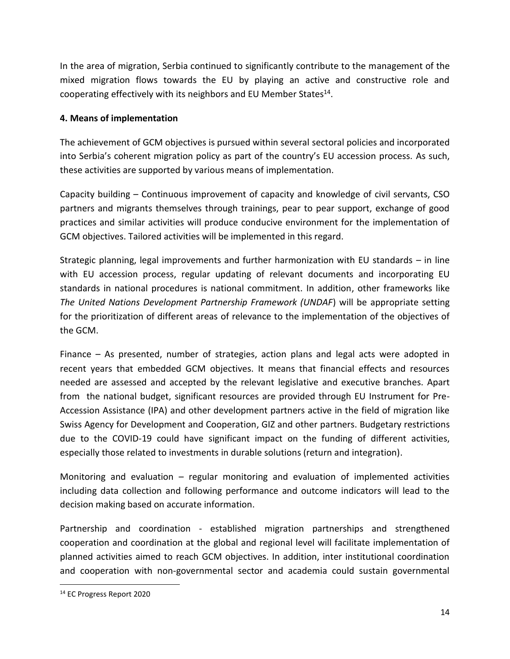In the area of migration, Serbia continued to significantly contribute to the management of the mixed migration flows towards the EU by playing an active and constructive role and cooperating effectively with its neighbors and EU Member States $^{14}$ .

## **4. Means of implementation**

The achievement of GCM objectives is pursued within several sectoral policies and incorporated into Serbia's coherent migration policy as part of the country's EU accession process. As such, these activities are supported by various means of implementation.

Capacity building – Continuous improvement of capacity and knowledge of civil servants, CSO partners and migrants themselves through trainings, pear to pear support, exchange of good practices and similar activities will produce conducive environment for the implementation of GCM objectives. Tailored activities will be implemented in this regard.

Strategic planning, legal improvements and further harmonization with EU standards – in line with EU accession process, regular updating of relevant documents and incorporating EU standards in national procedures is national commitment. In addition, other frameworks like *The United Nations Development Partnership Framework (UNDAF*) will be appropriate setting for the prioritization of different areas of relevance to the implementation of the objectives of the GCM.

Finance – As presented, number of strategies, action plans and legal acts were adopted in recent years that embedded GCM objectives. It means that financial effects and resources needed are assessed and accepted by the relevant legislative and executive branches. Apart from the national budget, significant resources are provided through EU Instrument for Pre-Accession Assistance (IPA) and other development partners active in the field of migration like Swiss Agency for Development and Cooperation, GIZ and other partners. Budgetary restrictions due to the COVID-19 could have significant impact on the funding of different activities, especially those related to investments in durable solutions (return and integration).

Monitoring and evaluation – regular monitoring and evaluation of implemented activities including data collection and following performance and outcome indicators will lead to the decision making based on accurate information.

Partnership and coordination - established migration partnerships and strengthened cooperation and coordination at the global and regional level will facilitate implementation of planned activities aimed to reach GCM objectives. In addition, inter institutional coordination and cooperation with non-governmental sector and academia could sustain governmental

<sup>14</sup> EC Progress Report 2020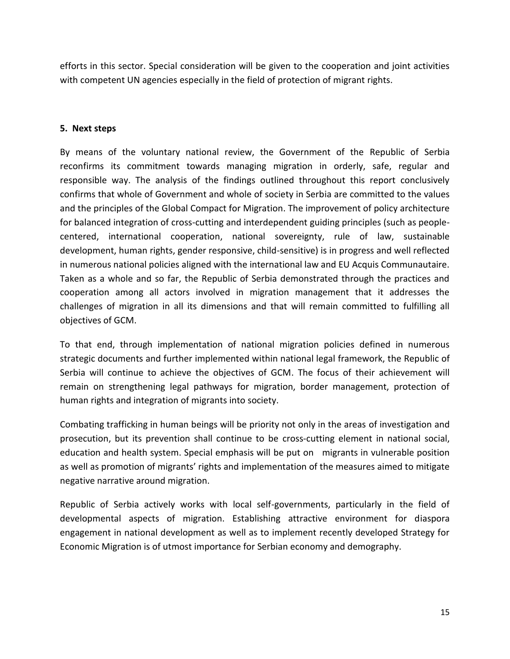efforts in this sector. Special consideration will be given to the cooperation and joint activities with competent UN agencies especially in the field of protection of migrant rights.

#### **5. Next steps**

By means of the voluntary national review, the Government of the Republic of Serbia reconfirms its commitment towards managing migration in orderly, safe, regular and responsible way. The analysis of the findings outlined throughout this report conclusively confirms that whole of Government and whole of society in Serbia are committed to the values and the principles of the Global Compact for Migration. The improvement of policy architecture for balanced integration of cross-cutting and interdependent guiding principles (such as peoplecentered, international cooperation, national sovereignty, rule of law, sustainable development, human rights, gender responsive, child-sensitive) is in progress and well reflected in numerous national policies aligned with the international law and EU Acquis Communautaire. Taken as a whole and so far, the Republic of Serbia demonstrated through the practices and cooperation among all actors involved in migration management that it addresses the challenges of migration in all its dimensions and that will remain committed to fulfilling all objectives of GCM.

To that end, through implementation of national migration policies defined in numerous strategic documents and further implemented within national legal framework, the Republic of Serbia will continue to achieve the objectives of GCM. The focus of their achievement will remain on strengthening legal pathways for migration, border management, protection of human rights and integration of migrants into society.

Combating trafficking in human beings will be priority not only in the areas of investigation and prosecution, but its prevention shall continue to be cross-cutting element in national social, education and health system. Special emphasis will be put on migrants in vulnerable position as well as promotion of migrants' rights and implementation of the measures aimed to mitigate negative narrative around migration.

Republic of Serbia actively works with local self-governments, particularly in the field of developmental aspects of migration. Establishing attractive environment for diaspora engagement in national development as well as to implement recently developed Strategy for Economic Migration is of utmost importance for Serbian economy and demography.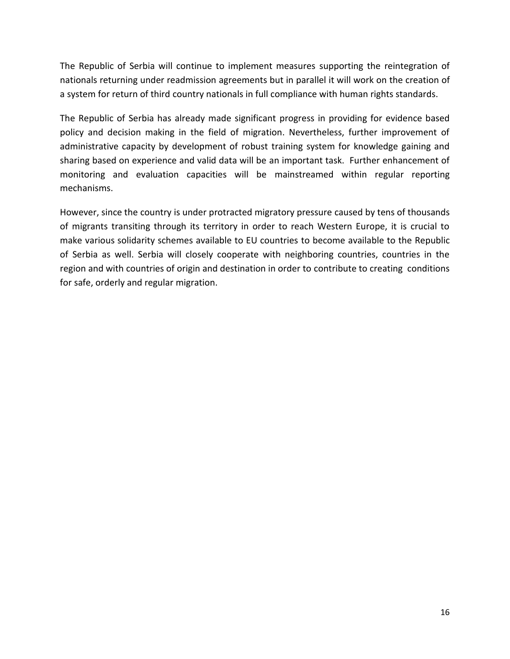The Republic of Serbia will continue to implement measures supporting the reintegration of nationals returning under readmission agreements but in parallel it will work on the creation of a system for return of third country nationals in full compliance with human rights standards.

The Republic of Serbia has already made significant progress in providing for evidence based policy and decision making in the field of migration. Nevertheless, further improvement of administrative capacity by development of robust training system for knowledge gaining and sharing based on experience and valid data will be an important task. Further enhancement of monitoring and evaluation capacities will be mainstreamed within regular reporting mechanisms.

However, since the country is under protracted migratory pressure caused by tens of thousands of migrants transiting through its territory in order to reach Western Europe, it is crucial to make various solidarity schemes available to EU countries to become available to the Republic of Serbia as well. Serbia will closely cooperate with neighboring countries, countries in the region and with countries of origin and destination in order to contribute to creating conditions for safe, orderly and regular migration.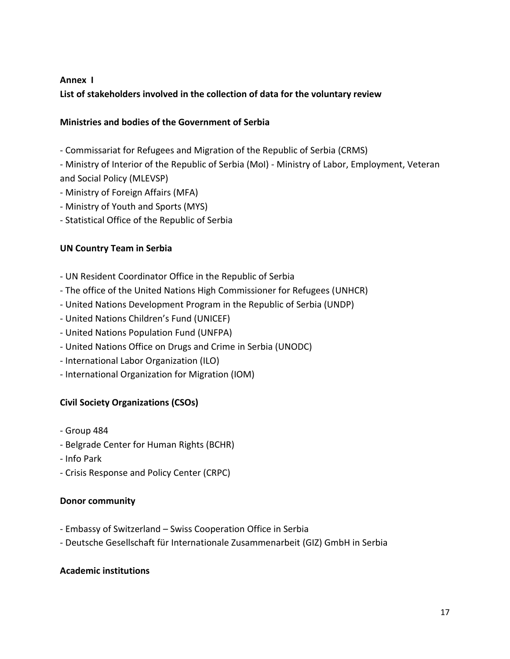## **Annex I**

**List of stakeholders involved in the collection of data for the voluntary review** 

## **Ministries and bodies of the Government of Serbia**

- Commissariat for Refugees and Migration of the Republic of Serbia (CRMS)
- Ministry of Interior of the Republic of Serbia (MoI) Ministry of Labor, Employment, Veteran and Social Policy (MLEVSP)
- Ministry of Foreign Affairs (MFA)
- Ministry of Youth and Sports (MYS)
- Statistical Office of the Republic of Serbia

## **UN Country Team in Serbia**

- UN Resident Coordinator Office in the Republic of Serbia
- The office of the United Nations High Commissioner for Refugees (UNHCR)
- United Nations Development Program in the Republic of Serbia (UNDP)
- United Nations Children's Fund (UNICEF)
- United Nations Population Fund (UNFPA)
- United Nations Office on Drugs and Crime in Serbia (UNODC)
- International Labor Organization (ILO)
- International Organization for Migration (IOM)

# **Civil Society Organizations (CSOs)**

- Group 484
- Belgrade Center for Human Rights (BCHR)
- Info Park
- Crisis Response and Policy Center (CRPC)

### **Donor community**

- Embassy of Switzerland Swiss Cooperation Office in Serbia
- Deutsche Gesellschaft für Internationale Zusammenarbeit (GIZ) GmbH in Serbia

### **Academic institutions**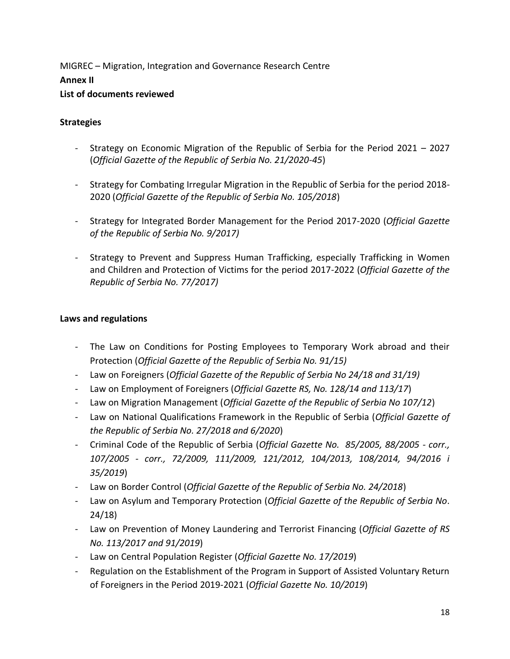MIGREC – Migration, Integration and Governance Research Centre **Annex II List of documents reviewed** 

### **Strategies**

- Strategy on Economic Migration of the Republic of Serbia for the Period 2021 2027 (*Official Gazette of the Republic of Serbia No. 21/2020-45*)
- Strategy for Combating Irregular Migration in the Republic of Serbia for the period 2018- 2020 (*Official Gazette of the Republic of Serbia No. 105/2018*)
- Strategy for Integrated Border Management for the Period 2017-2020 (*Official Gazette of the Republic of Serbia No. 9/2017)*
- Strategy to Prevent and Suppress Human Trafficking, especially Trafficking in Women and Children and Protection of Victims for the period 2017-2022 (*Official Gazette of the Republic of Serbia No. 77/2017)*

#### **Laws and regulations**

- The Law on Conditions for Posting Employees to Temporary Work abroad and their Protection (*Official Gazette of the Republic of Serbia No. 91/15)*
- Law on Foreigners (*Official Gazette of the Republic of Serbia No 24/18 and 31/19)*
- Law on Employment of Foreigners (*Official Gazette RS, No. 128/14 and 113/17*)
- Law on Migration Management (*Official Gazette of the Republic of Serbia No 107/12*)
- Law on National Qualifications Framework in the Republic of Serbia (*Official Gazette of the Republic of Serbia No. 27/2018 and 6/2020*)
- Criminal Code of the Republic of Serbia (*Official Gazette No. 85/2005, 88/2005 - corr., 107/2005 - corr., 72/2009, 111/2009, 121/2012, 104/2013, 108/2014, 94/2016 i 35/2019*)
- Law on Border Control (*Official Gazette of the Republic of Serbia No. 24/2018*)
- Law on Asylum and Temporary Protection (*Official Gazette of the Republic of Serbia No*. 24/18)
- Law on Prevention of Money Laundering and Terrorist Financing (*Official Gazette of RS No. 113/2017 and 91/2019*)
- Law on Central Population Register (*Official Gazette No. 17/2019*)
- Regulation on the Establishment of the Program in Support of Assisted Voluntary Return of Foreigners in the Period 2019-2021 (*Official Gazette No. 10/2019*)